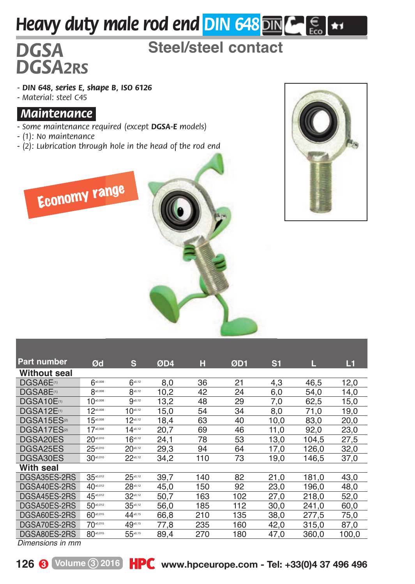# *Heavy duty male rod end DIN 648* DIN  $\epsilon$   $\epsilon$   $\epsilon$

## *DGSA* **Steel/steel contact**

*- DIN 648, series E, shape B, ISO 6126 - Material: steel C45*

#### *.Maintenance.*

*DGSA2RS*

- *Some maintenance required (except DGSA-E models)*
- *(1): No maintenance*
- *(2): Lubrication through hole in the head of the rod end*





| <b>Part number</b>      | Ød                   | s            | ØD4  | н   | ØD1 | S <sub>1</sub> | L     | L1    |
|-------------------------|----------------------|--------------|------|-----|-----|----------------|-------|-------|
| Without seal            |                      |              |      |     |     |                |       |       |
| DGSA6E <sup>(1)</sup>   | $6^{40,008}$         | $6^{40,12}$  | 8.0  | 36  | 21  | 4.3            | 46.5  | 12,0  |
| DGSA8E <sup>(1)</sup>   | 8-0,000              | $8^{40,12}$  | 10.2 | 42  | 24  | 6.0            | 54.0  | 14,0  |
| DGSA10E(1)              | 10 <sup>40,008</sup> | $9 - 12$     | 13.2 | 48  | 29  | 7.0            | 62.5  | 15.0  |
| DGSA12E(1)              | $12^{40,008}$        | $10^{40,12}$ | 15.0 | 54  | 34  | 8.0            | 71.0  | 19.0  |
| DGSA15ES <sup>(2)</sup> | $15 - cos$           | $12^{40,12}$ | 18.4 | 63  | 40  | 10,0           | 83.0  | 20,0  |
| DGSA17ES <sup>®</sup>   | $17 - 0.008$         | $14^{40,12}$ | 20.7 | 69  | 46  | 11,0           | 92,0  | 23,0  |
| DGSA20ES                | 20-0.010             | $16^{40,12}$ | 24.1 | 78  | 53  | 13.0           | 104.5 | 27,5  |
| DGSA25ES                | 25 ****              | $20^{40,12}$ | 29.3 | 94  | 64  | 17.0           | 126.0 | 32,0  |
| DGSA30ES                | 30-0.010             | $22^{40,12}$ | 34.2 | 110 | 73  | 19.0           | 146.5 | 37,0  |
| With seal               |                      |              |      |     |     |                |       |       |
| DGSA35ES-2RS            | 35-0.012             | $25^{6.12}$  | 39.7 | 140 | 82  | 21.0           | 181.0 | 43.0  |
| DGSA40ES-2RS            | 40.012               | $28 - 12$    | 45.0 | 150 | 92  | 23.0           | 196.0 | 48,0  |
| DGSA45ES-2RS            | 45-0.012             | $32^{40,12}$ | 50.7 | 163 | 102 | 27,0           | 218,0 | 52,0  |
| DGSA50ES-2RS            | 50-0.012             | $35^{-.2}$   | 56.0 | 185 | 112 | 30.0           | 241.0 | 60.0  |
| DGSA60ES-2RS            | 60-0.015             | 44-0.15      | 66.8 | 210 | 135 | 38.0           | 277.5 | 75.0  |
| DGSA70ES-2RS            | 70-0.015             | 49-0.15      | 77.8 | 235 | 160 | 42.0           | 315.0 | 87.0  |
| DGSA80ES-2RS            | 80-0.015             | 55-0.15      | 89.4 | 270 | 180 | 47.0           | 360.0 | 100.0 |

*Dimensions in mm*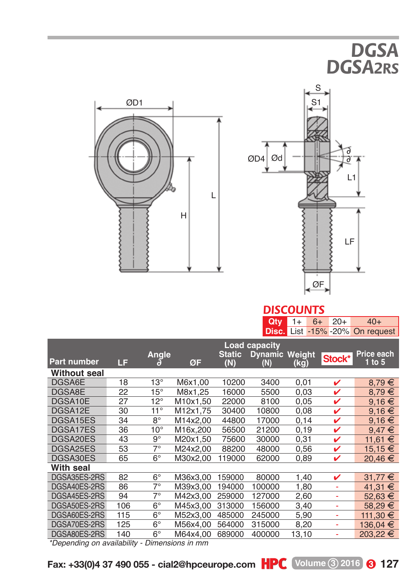# *DGSA DGSA2RS*





### *DISCOUNTS*

| Disc. List -15% -20% On request<br>Load capacity<br>Price each<br>Angle<br><b>Dynamic Weight</b><br><b>Static</b><br>Stock*<br><b>Part number</b><br>LF<br>ØF<br>1 to $5$<br>(N)<br>(kg)<br>(N)<br><b>Without seal</b><br>DGSA6E<br>8,79€<br>$13^\circ$<br>18<br>M6x1.00<br>10200<br>3400<br>0,01<br>v<br>8,79€<br>DGSA8E<br>22<br>$15^{\circ}$<br>M8x1,25<br>0,03<br>v<br>16000<br>5500<br>$9,16 \in$<br>DGSA10E<br>27<br>$12^{\circ}$<br>v<br>M10x1.50<br>22000<br>8100<br>0,05<br>$11^{\circ}$<br>$9,16 \in$<br>DGSA12E<br>30<br>M12x1.75<br>30400<br>10800<br>0.08<br>v<br>DGSA15ES<br>$8^{\circ}$<br>M14x2.00<br>34<br>44800<br>17000<br>0,14<br>✓<br>9.16 €<br>$10^{\circ}$<br>DGSA17ES<br>36<br>M16x.200<br>21200<br>56500<br>0, 19<br>v<br>$9.47 \in$<br>$9^{\circ}$<br>DGSA20ES<br>43<br>M20x1.50<br>30000<br>0,31<br>11,61 €<br>75600<br>v<br>DGSA25ES<br>$7^\circ$<br>15,15 €<br>M24x2,00<br>53<br>88200<br>48000<br>v<br>0,56<br>DGSA30ES<br>$6^{\circ}$<br>$20,46 \in$<br>65<br>M30x2,00<br>119000<br>62000<br>0,89<br>✓<br>With seal<br>DGSA35ES-2RS<br>82<br>$6^{\circ}$<br>31,77 €<br>M36x3,00<br>159000<br>80000<br>1,40<br>✓<br>DGSA40ES-2RS<br>7°<br>86<br>M39x3.00<br>194000<br>100000<br>1,80<br>41.31 €<br>÷<br>DGSA45ES-2RS<br>7°<br>94<br>M42x3.00<br>259000<br>127000<br>2,60<br>52.63 €<br>÷<br>$6^{\circ}$<br>DGSA50ES-2RS<br>106<br>M45x3,00<br>3,40<br>313000<br>156000<br>58.29 €<br>÷<br>DGSA60ES-2RS<br>$6^{\circ}$<br>111,30 €<br>115<br>M52x3,00<br>485000<br>245000<br>5,90<br>÷<br>$6^{\circ}$<br>DGSA70ES-2RS<br>136,04 €<br>125<br>M56x4,00<br>564000<br>315000<br>8,20<br>÷, |              |     |    |          |        | Qty    | $6+$<br>$1+$ | $20+$ | $40+$    |  |  |  |
|---------------------------------------------------------------------------------------------------------------------------------------------------------------------------------------------------------------------------------------------------------------------------------------------------------------------------------------------------------------------------------------------------------------------------------------------------------------------------------------------------------------------------------------------------------------------------------------------------------------------------------------------------------------------------------------------------------------------------------------------------------------------------------------------------------------------------------------------------------------------------------------------------------------------------------------------------------------------------------------------------------------------------------------------------------------------------------------------------------------------------------------------------------------------------------------------------------------------------------------------------------------------------------------------------------------------------------------------------------------------------------------------------------------------------------------------------------------------------------------------------------------------------------------------------------------------------------------------------------------------|--------------|-----|----|----------|--------|--------|--------------|-------|----------|--|--|--|
|                                                                                                                                                                                                                                                                                                                                                                                                                                                                                                                                                                                                                                                                                                                                                                                                                                                                                                                                                                                                                                                                                                                                                                                                                                                                                                                                                                                                                                                                                                                                                                                                                     |              |     |    |          |        |        |              |       |          |  |  |  |
|                                                                                                                                                                                                                                                                                                                                                                                                                                                                                                                                                                                                                                                                                                                                                                                                                                                                                                                                                                                                                                                                                                                                                                                                                                                                                                                                                                                                                                                                                                                                                                                                                     |              |     |    |          |        |        |              |       |          |  |  |  |
|                                                                                                                                                                                                                                                                                                                                                                                                                                                                                                                                                                                                                                                                                                                                                                                                                                                                                                                                                                                                                                                                                                                                                                                                                                                                                                                                                                                                                                                                                                                                                                                                                     |              |     |    |          |        |        |              |       |          |  |  |  |
|                                                                                                                                                                                                                                                                                                                                                                                                                                                                                                                                                                                                                                                                                                                                                                                                                                                                                                                                                                                                                                                                                                                                                                                                                                                                                                                                                                                                                                                                                                                                                                                                                     |              |     |    |          |        |        |              |       |          |  |  |  |
|                                                                                                                                                                                                                                                                                                                                                                                                                                                                                                                                                                                                                                                                                                                                                                                                                                                                                                                                                                                                                                                                                                                                                                                                                                                                                                                                                                                                                                                                                                                                                                                                                     |              |     |    |          |        |        |              |       |          |  |  |  |
|                                                                                                                                                                                                                                                                                                                                                                                                                                                                                                                                                                                                                                                                                                                                                                                                                                                                                                                                                                                                                                                                                                                                                                                                                                                                                                                                                                                                                                                                                                                                                                                                                     |              |     |    |          |        |        |              |       |          |  |  |  |
|                                                                                                                                                                                                                                                                                                                                                                                                                                                                                                                                                                                                                                                                                                                                                                                                                                                                                                                                                                                                                                                                                                                                                                                                                                                                                                                                                                                                                                                                                                                                                                                                                     |              |     |    |          |        |        |              |       |          |  |  |  |
|                                                                                                                                                                                                                                                                                                                                                                                                                                                                                                                                                                                                                                                                                                                                                                                                                                                                                                                                                                                                                                                                                                                                                                                                                                                                                                                                                                                                                                                                                                                                                                                                                     |              |     |    |          |        |        |              |       |          |  |  |  |
|                                                                                                                                                                                                                                                                                                                                                                                                                                                                                                                                                                                                                                                                                                                                                                                                                                                                                                                                                                                                                                                                                                                                                                                                                                                                                                                                                                                                                                                                                                                                                                                                                     |              |     |    |          |        |        |              |       |          |  |  |  |
|                                                                                                                                                                                                                                                                                                                                                                                                                                                                                                                                                                                                                                                                                                                                                                                                                                                                                                                                                                                                                                                                                                                                                                                                                                                                                                                                                                                                                                                                                                                                                                                                                     |              |     |    |          |        |        |              |       |          |  |  |  |
|                                                                                                                                                                                                                                                                                                                                                                                                                                                                                                                                                                                                                                                                                                                                                                                                                                                                                                                                                                                                                                                                                                                                                                                                                                                                                                                                                                                                                                                                                                                                                                                                                     |              |     |    |          |        |        |              |       |          |  |  |  |
|                                                                                                                                                                                                                                                                                                                                                                                                                                                                                                                                                                                                                                                                                                                                                                                                                                                                                                                                                                                                                                                                                                                                                                                                                                                                                                                                                                                                                                                                                                                                                                                                                     |              |     |    |          |        |        |              |       |          |  |  |  |
|                                                                                                                                                                                                                                                                                                                                                                                                                                                                                                                                                                                                                                                                                                                                                                                                                                                                                                                                                                                                                                                                                                                                                                                                                                                                                                                                                                                                                                                                                                                                                                                                                     |              |     |    |          |        |        |              |       |          |  |  |  |
|                                                                                                                                                                                                                                                                                                                                                                                                                                                                                                                                                                                                                                                                                                                                                                                                                                                                                                                                                                                                                                                                                                                                                                                                                                                                                                                                                                                                                                                                                                                                                                                                                     |              |     |    |          |        |        |              |       |          |  |  |  |
|                                                                                                                                                                                                                                                                                                                                                                                                                                                                                                                                                                                                                                                                                                                                                                                                                                                                                                                                                                                                                                                                                                                                                                                                                                                                                                                                                                                                                                                                                                                                                                                                                     |              |     |    |          |        |        |              |       |          |  |  |  |
|                                                                                                                                                                                                                                                                                                                                                                                                                                                                                                                                                                                                                                                                                                                                                                                                                                                                                                                                                                                                                                                                                                                                                                                                                                                                                                                                                                                                                                                                                                                                                                                                                     |              |     |    |          |        |        |              |       |          |  |  |  |
|                                                                                                                                                                                                                                                                                                                                                                                                                                                                                                                                                                                                                                                                                                                                                                                                                                                                                                                                                                                                                                                                                                                                                                                                                                                                                                                                                                                                                                                                                                                                                                                                                     |              |     |    |          |        |        |              |       |          |  |  |  |
|                                                                                                                                                                                                                                                                                                                                                                                                                                                                                                                                                                                                                                                                                                                                                                                                                                                                                                                                                                                                                                                                                                                                                                                                                                                                                                                                                                                                                                                                                                                                                                                                                     |              |     |    |          |        |        |              |       |          |  |  |  |
|                                                                                                                                                                                                                                                                                                                                                                                                                                                                                                                                                                                                                                                                                                                                                                                                                                                                                                                                                                                                                                                                                                                                                                                                                                                                                                                                                                                                                                                                                                                                                                                                                     |              |     |    |          |        |        |              |       |          |  |  |  |
|                                                                                                                                                                                                                                                                                                                                                                                                                                                                                                                                                                                                                                                                                                                                                                                                                                                                                                                                                                                                                                                                                                                                                                                                                                                                                                                                                                                                                                                                                                                                                                                                                     |              |     |    |          |        |        |              |       |          |  |  |  |
|                                                                                                                                                                                                                                                                                                                                                                                                                                                                                                                                                                                                                                                                                                                                                                                                                                                                                                                                                                                                                                                                                                                                                                                                                                                                                                                                                                                                                                                                                                                                                                                                                     |              |     |    |          |        |        |              |       |          |  |  |  |
| 13,10<br>۰                                                                                                                                                                                                                                                                                                                                                                                                                                                                                                                                                                                                                                                                                                                                                                                                                                                                                                                                                                                                                                                                                                                                                                                                                                                                                                                                                                                                                                                                                                                                                                                                          | DGSA80ES-2RS | 140 | 6° | M64x4,00 | 689000 | 400000 |              |       | 203,22 € |  |  |  |

*\*Depending on availability - Dimensions in mm*